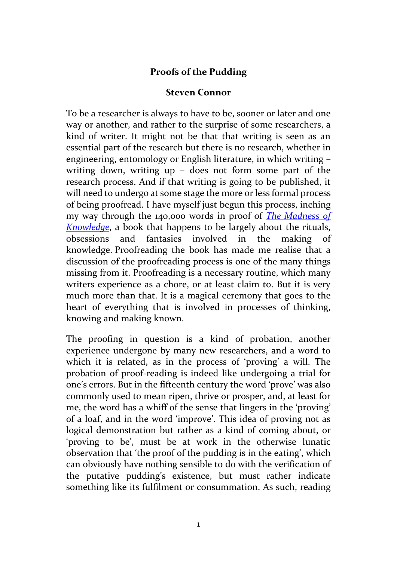## **Proofs of the Pudding**

## **Steven Connor**

To be a researcher is always to have to be, sooner or later and one way or another, and rather to the surprise of some researchers, a kind of writer. It might not be that that writing is seen as an essential part of the research but there is no research, whether in engineering, entomology or English literature, in which writing – writing down, writing up – does not form some part of the research process. And if that writing is going to be published, it will need to undergo at some stage the more or less formal process of being proofread. I have myself just begun this process, inching my way through the 140,000 words in proof of *[The Madness of](http://www.reaktionbooks.co.uk/display.asp?ISB=9781789140729)  [Knowledge](http://www.reaktionbooks.co.uk/display.asp?ISB=9781789140729)*, a book that happens to be largely about the rituals, obsessions and fantasies involved in the making of knowledge. Proofreading the book has made me realise that a discussion of the proofreading process is one of the many things missing from it. Proofreading is a necessary routine, which many writers experience as a chore, or at least claim to. But it is very much more than that. It is a magical ceremony that goes to the heart of everything that is involved in processes of thinking, knowing and making known.

The proofing in question is a kind of probation, another experience undergone by many new researchers, and a word to which it is related, as in the process of 'proving' a will. The probation of proof-reading is indeed like undergoing a trial for one's errors. But in the fifteenth century the word 'prove' was also commonly used to mean ripen, thrive or prosper, and, at least for me, the word has a whiff of the sense that lingers in the 'proving' of a loaf, and in the word 'improve'. This idea of proving not as logical demonstration but rather as a kind of coming about, or 'proving to be', must be at work in the otherwise lunatic observation that 'the proof of the pudding is in the eating', which can obviously have nothing sensible to do with the verification of the putative pudding's existence, but must rather indicate something like its fulfilment or consummation. As such, reading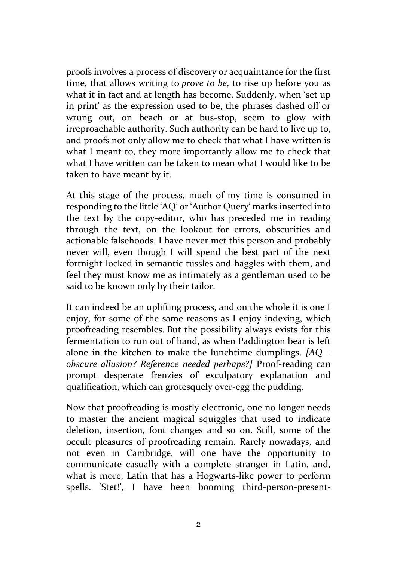proofs involves a process of discovery or acquaintance for the first time, that allows writing to *prove to be*, to rise up before you as what it in fact and at length has become. Suddenly, when 'set up in print' as the expression used to be, the phrases dashed off or wrung out, on beach or at bus-stop, seem to glow with irreproachable authority. Such authority can be hard to live up to, and proofs not only allow me to check that what I have written is what I meant to, they more importantly allow me to check that what I have written can be taken to mean what I would like to be taken to have meant by it.

At this stage of the process, much of my time is consumed in responding to the little 'AQ' or 'Author Query' marks inserted into the text by the copy-editor, who has preceded me in reading through the text, on the lookout for errors, obscurities and actionable falsehoods. I have never met this person and probably never will, even though I will spend the best part of the next fortnight locked in semantic tussles and haggles with them, and feel they must know me as intimately as a gentleman used to be said to be known only by their tailor.

It can indeed be an uplifting process, and on the whole it is one I enjoy, for some of the same reasons as I enjoy indexing, which proofreading resembles. But the possibility always exists for this fermentation to run out of hand, as when Paddington bear is left alone in the kitchen to make the lunchtime dumplings. *[AQ – obscure allusion? Reference needed perhaps?]* Proof-reading can prompt desperate frenzies of exculpatory explanation and qualification, which can grotesquely over-egg the pudding.

Now that proofreading is mostly electronic, one no longer needs to master the ancient magical squiggles that used to indicate deletion, insertion, font changes and so on. Still, some of the occult pleasures of proofreading remain. Rarely nowadays, and not even in Cambridge, will one have the opportunity to communicate casually with a complete stranger in Latin, and, what is more, Latin that has a Hogwarts-like power to perform spells. 'Stet!', I have been booming third-person-present